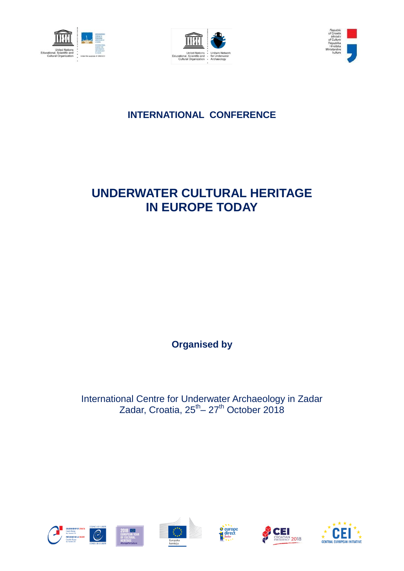





# **INTERNATIONAL CONFERENCE**

# **UNDERWATER CULTURAL HERITAGE IN EUROPE TODAY**

**Organised by** 

International Centre for Underwater Archaeology in Zadar Zadar, Croatia, 25<sup>th</sup> – 27<sup>th</sup> October 2018











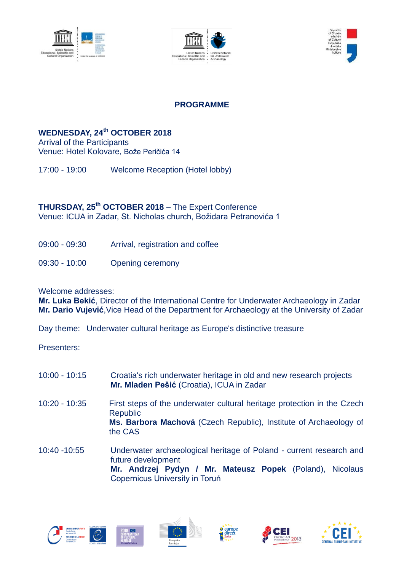





#### **PROGRAMME**

### **WEDNESDAY, 24th OCTOBER 2018**

Arrival of the Participants Venue: Hotel Kolovare, Bože Peričića 14

17:00 - 19:00 Welcome Reception (Hotel lobby)

**THURSDAY, 25 th OCTOBER 2018** – The Expert Conference Venue: ICUA in Zadar, St. Nicholas church, Božidara Petranovića 1

- 09:00 09:30 Arrival, registration and coffee
- 09:30 10:00 Opening ceremony

Welcome addresses:

**Mr. Luka Bekić**, Director of the International Centre for Underwater Archaeology in Zadar **Mr. Dario Vujević**,Vice Head of the Department for Archaeology at the University of Zadar

Day theme: Underwater cultural heritage as Europe's distinctive treasure

Presenters:

- 10:00 10:15 Croatia's rich underwater heritage in old and new research projects **Mr. Mladen Pešić** (Croatia), ICUA in Zadar
- 10:20 10:35 First steps of the underwater cultural heritage protection in the Czech Republic **Ms. Barbora Machová** (Czech Republic), Institute of Archaeology of the CAS
- 10:40 -10:55 Underwater archaeological heritage of Poland current research and future development **Mr. Andrzej Pydyn / Mr. Mateusz Popek** (Poland), Nicolaus Copernicus University in Toruń











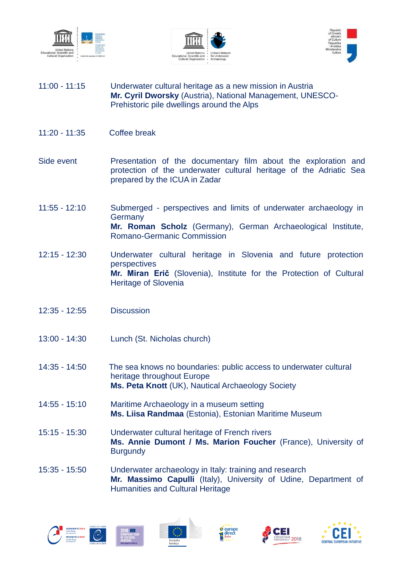





- 11:00 11:15 Underwater cultural heritage as a new mission in Austria **Mr. Cyril Dworsky** (Austria), National Management, UNESCO-Prehistoric pile dwellings around the Alps
- 11:20 11:35 Coffee break
- Side event Presentation of the documentary film about the exploration and protection of the underwater cultural heritage of the Adriatic Sea prepared by the ICUA in Zadar
- 11:55 12:10 Submerged perspectives and limits of underwater archaeology in **Germany Mr. Roman Scholz** (Germany), German Archaeological Institute, Romano-Germanic Commission
- 12:15 12:30 Underwater cultural heritage in Slovenia and future protection perspectives **Mr. Miran Erič** (Slovenia), Institute for the Protection of Cultural Heritage of Slovenia
- 12:35 12:55 Discussion
- 13:00 14:30 Lunch (St. Nicholas church)
- 14:35 14:50 The sea knows no boundaries: public access to underwater cultural heritage throughout Europe **Ms. Peta Knott** (UK), Nautical Archaeology Society
- 14:55 15:10 Maritime Archaeology in a museum setting **Ms. Liisa Randmaa** (Estonia), Estonian Maritime Museum
- 15:15 15:30 Underwater cultural heritage of French rivers **Ms. Annie Dumont / Ms. Marion Foucher** (France), University of **Burgundy**
- 15:35 15:50 Underwater archaeology in Italy: training and research **Mr. Massimo Capulli** (Italy), University of Udine, Department of Humanities and Cultural Heritage











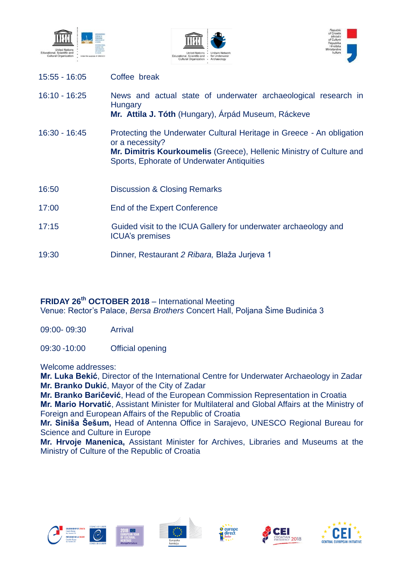

15:55 - 16:05 Coffee break





| $16:10 - 16:25$ | News and actual state of underwater archaeological research in<br>Hungary<br>Mr. Attila J. Tóth (Hungary), Árpád Museum, Ráckeve                                                                               |
|-----------------|----------------------------------------------------------------------------------------------------------------------------------------------------------------------------------------------------------------|
| 16:30 - 16:45   | Protecting the Underwater Cultural Heritage in Greece - An obligation<br>or a necessity?<br>Mr. Dimitris Kourkoumelis (Greece), Hellenic Ministry of Culture and<br>Sports, Ephorate of Underwater Antiquities |
| 16:50           | <b>Discussion &amp; Closing Remarks</b>                                                                                                                                                                        |
| 17:00           | End of the Expert Conference                                                                                                                                                                                   |
| 17:15           | Guided visit to the ICUA Gallery for underwater archaeology and<br><b>ICUA's premises</b>                                                                                                                      |
| 19:30           | Dinner, Restaurant 2 Ribara, Blaža Jurjeva 1                                                                                                                                                                   |

#### **FRIDAY 26th OCTOBER 2018** – International Meeting

Venue: Rector's Palace, *Bersa Brothers* Concert Hall, Poljana Šime Budinića 3

09:00- 09:30 Arrival

09:30 -10:00 Official opening

Welcome addresses:

**Mr. Luka Bekić**, Director of the International Centre for Underwater Archaeology in Zadar **Mr. Branko Dukić**, Mayor of the City of Zadar

**Mr. Branko Baričević**, Head of the European Commission Representation in Croatia **Mr. Mario Horvatić**, Assistant Minister for Multilateral and Global Affairs at the Ministry of Foreign and European Affairs of the Republic of Croatia

**Mr. Siniša Šešum,** Head of Antenna Office in Sarajevo, UNESCO Regional Bureau for Science and Culture in Europe

**Mr. Hrvoje Manenica,** Assistant Minister for Archives, Libraries and Museums at the Ministry of Culture of the Republic of Croatia











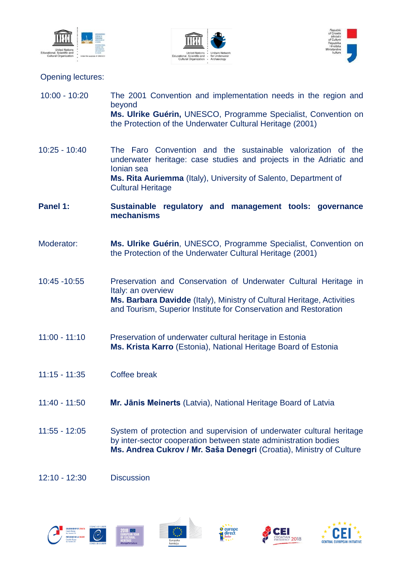





### Opening lectures:

| $10:00 - 10:20$ | The 2001 Convention and implementation needs in the region and<br>beyond<br>Ms. Ulrike Guérin, UNESCO, Programme Specialist, Convention on<br>the Protection of the Underwater Cultural Heritage (2001)                                        |
|-----------------|------------------------------------------------------------------------------------------------------------------------------------------------------------------------------------------------------------------------------------------------|
| 10:25 - 10:40   | The Faro Convention and the sustainable valorization of the<br>underwater heritage: case studies and projects in the Adriatic and<br>Ionian sea<br>Ms. Rita Auriemma (Italy), University of Salento, Department of<br><b>Cultural Heritage</b> |
| Panel 1:        | Sustainable regulatory and management tools: governance<br>mechanisms                                                                                                                                                                          |
| Moderator:      | Ms. Ulrike Guérin, UNESCO, Programme Specialist, Convention on<br>the Protection of the Underwater Cultural Heritage (2001)                                                                                                                    |
| 10:45 - 10:55   | Preservation and Conservation of Underwater Cultural Heritage in<br>Italy: an overview<br>Ms. Barbara Davidde (Italy), Ministry of Cultural Heritage, Activities<br>and Tourism, Superior Institute for Conservation and Restoration           |
| $11:00 - 11:10$ | Preservation of underwater cultural heritage in Estonia<br>Ms. Krista Karro (Estonia), National Heritage Board of Estonia                                                                                                                      |
| $11:15 - 11:35$ | Coffee break                                                                                                                                                                                                                                   |
| $11:40 - 11:50$ | Mr. Jānis Meinerts (Latvia), National Heritage Board of Latvia                                                                                                                                                                                 |
| 11:55 - 12:05   | System of protection and supervision of underwater cultural heritage<br>by inter-sector cooperation between state administration bodies<br>Ms. Andrea Cukrov / Mr. Saša Denegri (Croatia), Ministry of Culture                                 |

12:10 - 12:30Discussion





 $\boldsymbol{\xi}_{\mathrm{tot}}^{\star\star\star}$ 





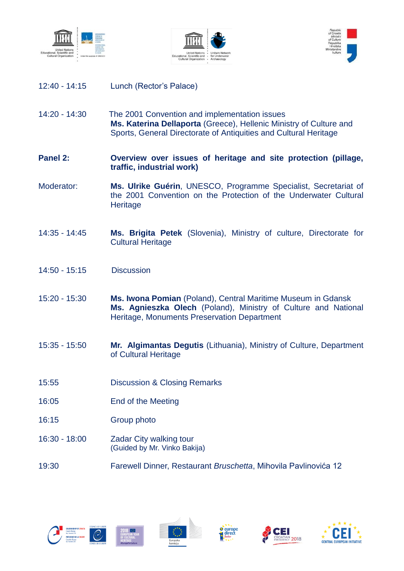





- 12:40 14:15 Lunch (Rector's Palace)
- 14:20 14:30 The 2001 Convention and implementation issues **Ms. Katerina Dellaporta** (Greece), Hellenic Ministry of Culture and Sports, General Directorate of Antiquities and Cultural Heritage
- **Panel 2: Overview over issues of heritage and site protection (pillage, traffic, industrial work)**
- Moderator: **Ms. Ulrike Guérin**, UNESCO, Programme Specialist, Secretariat of the 2001 Convention on the Protection of the Underwater Cultural **Heritage**
- 14:35 14:45 **Ms. Brigita Petek** (Slovenia), Ministry of culture, Directorate for Cultural Heritage
- 14:50 15:15 Discussion
- 15:20 15:30 **Ms. Iwona Pomian** (Poland), Central Maritime Museum in Gdansk **Ms. Agnieszka Olech** (Poland), Ministry of Culture and National Heritage, Monuments Preservation Department
- 15:35 15:50 **Mr. Algimantas Degutis** (Lithuania), Ministry of Culture, Department of Cultural Heritage
- 15:55 Discussion & Closing Remarks
- 16:05 End of the Meeting
- 16:15 Group photo
- 16:30 18:00Zadar City walking tour (Guided by Mr. Vinko Bakija)
- 19:30 Farewell Dinner, Restaurant *Bruschetta*, Mihovila Pavlinovića 12